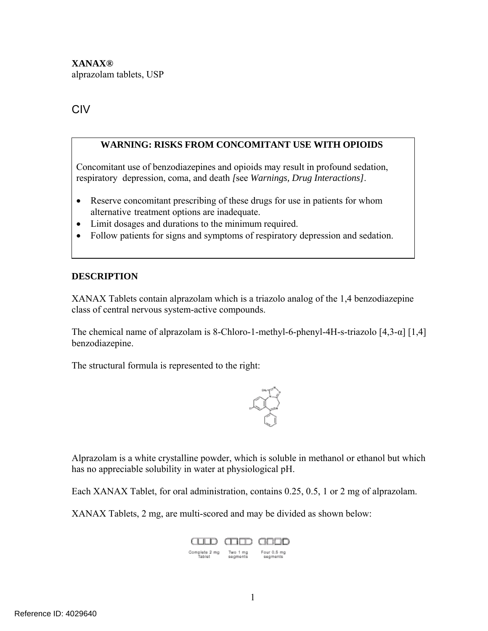**XANAX®**  alprazolam tablets, USP

CIV

## **WARNING: RISKS FROM CONCOMITANT USE WITH OPIOIDS**

Concomitant use of benzodiazepines and opioids may result in profound sedation, respiratory depression, coma, and death *[*see *Warnings, Drug Interactions]*.

- Reserve concomitant prescribing of these drugs for use in patients for whom alternative treatment options are inadequate.
- Limit dosages and durations to the minimum required.
- Follow patients for signs and symptoms of respiratory depression and sedation.

## **DESCRIPTION**

XANAX Tablets contain alprazolam which is a triazolo analog of the 1,4 benzodiazepine class of central nervous system-active compounds.

The chemical name of alprazolam is 8-Chloro-1-methyl-6-phenyl-4H-s-triazolo  $[4,3-\alpha]$  [1,4] benzodiazepine.

The structural formula is represented to the right:



Alprazolam is a white crystalline powder, which is soluble in methanol or ethanol but which has no appreciable solubility in water at physiological pH.

Each XANAX Tablet, for oral administration, contains 0.25, 0.5, 1 or 2 mg of alprazolam.

XANAX Tablets, 2 mg, are multi-scored and may be divided as shown below:

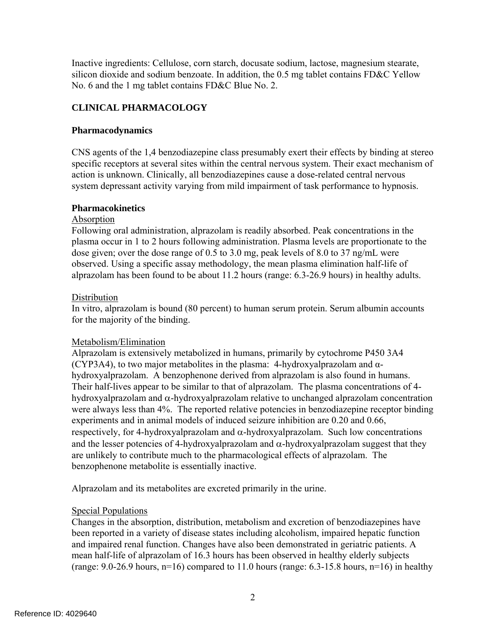Inactive ingredients: Cellulose, corn starch, docusate sodium, lactose, magnesium stearate, silicon dioxide and sodium benzoate. In addition, the 0.5 mg tablet contains FD&C Yellow No. 6 and the 1 mg tablet contains FD&C Blue No. 2.

# **CLINICAL PHARMACOLOGY**

### **Pharmacodynamics**

CNS agents of the 1,4 benzodiazepine class presumably exert their effects by binding at stereo specific receptors at several sites within the central nervous system. Their exact mechanism of action is unknown. Clinically, all benzodiazepines cause a dose-related central nervous system depressant activity varying from mild impairment of task performance to hypnosis.

### **Pharmacokinetics**

### Absorption

Following oral administration, alprazolam is readily absorbed. Peak concentrations in the plasma occur in 1 to 2 hours following administration. Plasma levels are proportionate to the dose given; over the dose range of 0.5 to 3.0 mg, peak levels of 8.0 to 37 ng/mL were observed. Using a specific assay methodology, the mean plasma elimination half-life of alprazolam has been found to be about 11.2 hours (range: 6.3-26.9 hours) in healthy adults.

### **Distribution**

In vitro, alprazolam is bound (80 percent) to human serum protein. Serum albumin accounts for the majority of the binding.

### Metabolism/Elimination

Alprazolam is extensively metabolized in humans, primarily by cytochrome P450 3A4 (CYP3A4), to two major metabolites in the plasma: 4-hydroxyalprazolam and  $\alpha$ hydroxyalprazolam. A benzophenone derived from alprazolam is also found in humans. Their half-lives appear to be similar to that of alprazolam. The plasma concentrations of 4 hydroxyalprazolam and  $\alpha$ -hydroxyalprazolam relative to unchanged alprazolam concentration were always less than 4%. The reported relative potencies in benzodiazepine receptor binding experiments and in animal models of induced seizure inhibition are 0.20 and 0.66, respectively, for 4-hydroxyalprazolam and  $\alpha$ -hydroxyalprazolam. Such low concentrations and the lesser potencies of 4-hydroxyalprazolam and  $\alpha$ -hydroxyalprazolam suggest that they are unlikely to contribute much to the pharmacological effects of alprazolam. The benzophenone metabolite is essentially inactive.

Alprazolam and its metabolites are excreted primarily in the urine.

### Special Populations

Changes in the absorption, distribution, metabolism and excretion of benzodiazepines have been reported in a variety of disease states including alcoholism, impaired hepatic function and impaired renal function. Changes have also been demonstrated in geriatric patients. A mean half-life of alprazolam of 16.3 hours has been observed in healthy elderly subjects (range:  $9.0\n-26.9$  hours, n=16) compared to 11.0 hours (range:  $6.3\n-15.8$  hours, n=16) in healthy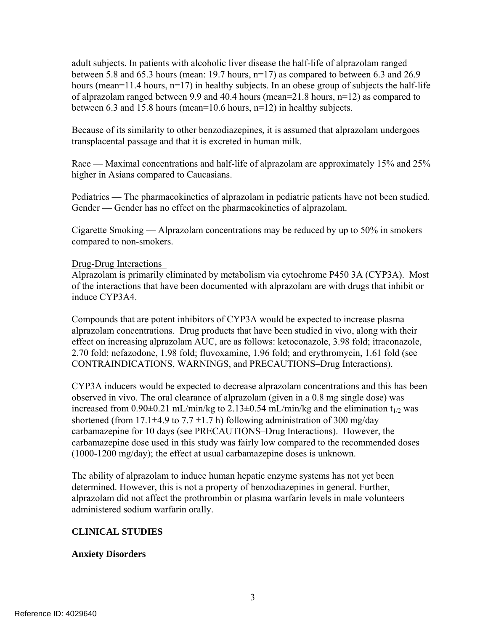adult subjects. In patients with alcoholic liver disease the half-life of alprazolam ranged between 5.8 and 65.3 hours (mean: 19.7 hours, n=17) as compared to between 6.3 and 26.9 hours (mean=11.4 hours, n=17) in healthy subjects. In an obese group of subjects the half-life of alprazolam ranged between 9.9 and 40.4 hours (mean=21.8 hours, n=12) as compared to between 6.3 and 15.8 hours (mean=10.6 hours, n=12) in healthy subjects.

Because of its similarity to other benzodiazepines, it is assumed that alprazolam undergoes transplacental passage and that it is excreted in human milk.

Race — Maximal concentrations and half-life of alprazolam are approximately 15% and 25% higher in Asians compared to Caucasians.

Pediatrics — The pharmacokinetics of alprazolam in pediatric patients have not been studied.<br>Gender — Gender has no effect on the pharmacokinetics of alprazolam.

Cigarette Smoking — Alprazolam concentrations may be reduced by up to 50% in smokers compared to non-smokers.

### Drug-Drug Interactions

Alprazolam is primarily eliminated by metabolism via cytochrome P450 3A (CYP3A). Most of the interactions that have been documented with alprazolam are with drugs that inhibit or induce CYP3A4.

Compounds that are potent inhibitors of CYP3A would be expected to increase plasma alprazolam concentrations. Drug products that have been studied in vivo, along with their effect on increasing alprazolam AUC, are as follows: ketoconazole, 3.98 fold; itraconazole, 2.70 fold; nefazodone, 1.98 fold; fluvoxamine, 1.96 fold; and erythromycin, 1.61 fold (see CONTRAINDICATIONS, WARNINGS, and PRECAUTIONS–Drug Interactions).

CYP3A inducers would be expected to decrease alprazolam concentrations and this has been observed in vivo. The oral clearance of alprazolam (given in a 0.8 mg single dose) was increased from 0.90 $\pm$ 0.21 mL/min/kg to 2.13 $\pm$ 0.54 mL/min/kg and the elimination t<sub>1/2</sub> was shortened (from 17.1 $\pm$ 4.9 to 7.7 $\pm$ 1.7 h) following administration of 300 mg/day carbamazepine for 10 days (see PRECAUTIONS–Drug Interactions). However, the carbamazepine dose used in this study was fairly low compared to the recommended doses (1000-1200 mg/day); the effect at usual carbamazepine doses is unknown.

The ability of alprazolam to induce human hepatic enzyme systems has not yet been determined. However, this is not a property of benzodiazepines in general. Further, alprazolam did not affect the prothrombin or plasma warfarin levels in male volunteers administered sodium warfarin orally.

### **CLINICAL STUDIES**

### **Anxiety Disorders**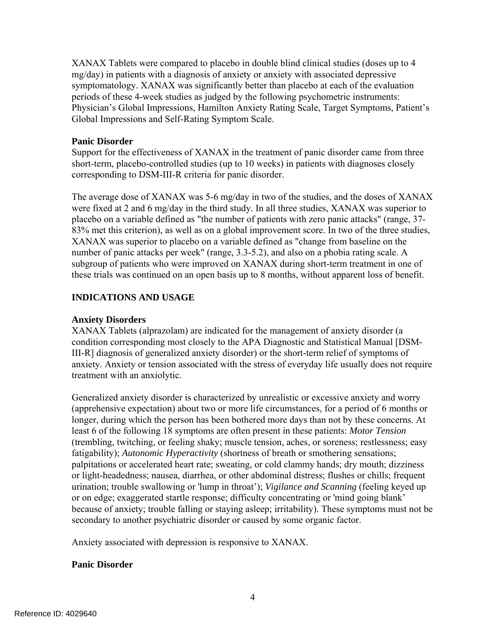XANAX Tablets were compared to placebo in double blind clinical studies (doses up to 4 mg/day) in patients with a diagnosis of anxiety or anxiety with associated depressive symptomatology. XANAX was significantly better than placebo at each of the evaluation periods of these 4-week studies as judged by the following psychometric instruments: Physician's Global Impressions, Hamilton Anxiety Rating Scale, Target Symptoms, Patient's Global Impressions and Self-Rating Symptom Scale.

### **Panic Disorder**

Support for the effectiveness of XANAX in the treatment of panic disorder came from three short-term, placebo-controlled studies (up to 10 weeks) in patients with diagnoses closely corresponding to DSM-III-R criteria for panic disorder.

The average dose of XANAX was 5-6 mg/day in two of the studies, and the doses of XANAX were fixed at 2 and 6 mg/day in the third study. In all three studies, XANAX was superior to placebo on a variable defined as "the number of patients with zero panic attacks" (range, 37 83% met this criterion), as well as on a global improvement score. In two of the three studies, XANAX was superior to placebo on a variable defined as "change from baseline on the number of panic attacks per week" (range, 3.3-5.2), and also on a phobia rating scale. A subgroup of patients who were improved on XANAX during short-term treatment in one of these trials was continued on an open basis up to 8 months, without apparent loss of benefit.

## **INDICATIONS AND USAGE**

### **Anxiety Disorders**

XANAX Tablets (alprazolam) are indicated for the management of anxiety disorder (a condition corresponding most closely to the APA Diagnostic and Statistical Manual [DSM-III-R] diagnosis of generalized anxiety disorder) or the short-term relief of symptoms of anxiety. Anxiety or tension associated with the stress of everyday life usually does not require treatment with an anxiolytic.

Generalized anxiety disorder is characterized by unrealistic or excessive anxiety and worry (apprehensive expectation) about two or more life circumstances, for a period of 6 months or longer, during which the person has been bothered more days than not by these concerns. At least 6 of the following 18 symptoms are often present in these patients: *Motor Tension*  (trembling, twitching, or feeling shaky; muscle tension, aches, or soreness; restlessness; easy fatigability); *Autonomic Hyperactivity* (shortness of breath or smothering sensations; palpitations or accelerated heart rate; sweating, or cold clammy hands; dry mouth; dizziness or light-headedness; nausea, diarrhea, or other abdominal distress; flushes or chills; frequent urination; trouble swallowing or 'lump in throat'); *Vigilance and Scanning* (feeling keyed up or on edge; exaggerated startle response; difficulty concentrating or 'mind going blank' because of anxiety; trouble falling or staying asleep; irritability). These symptoms must not be secondary to another psychiatric disorder or caused by some organic factor.

Anxiety associated with depression is responsive to XANAX.

### **Panic Disorder**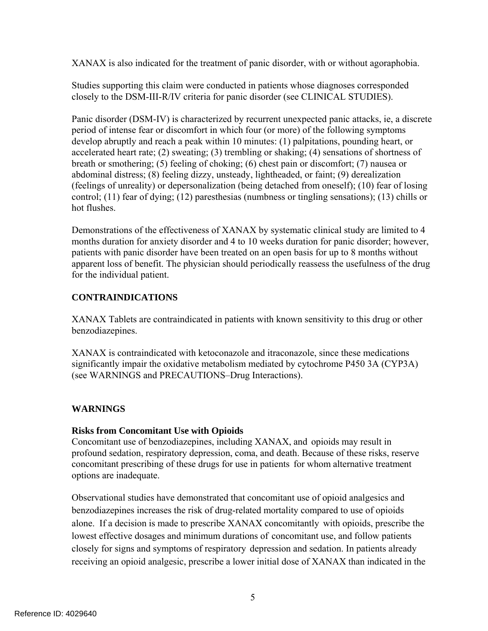XANAX is also indicated for the treatment of panic disorder, with or without agoraphobia.

Studies supporting this claim were conducted in patients whose diagnoses corresponded closely to the DSM-III-R/IV criteria for panic disorder (see CLINICAL STUDIES).

Panic disorder (DSM-IV) is characterized by recurrent unexpected panic attacks, ie, a discrete period of intense fear or discomfort in which four (or more) of the following symptoms develop abruptly and reach a peak within 10 minutes: (1) palpitations, pounding heart, or accelerated heart rate; (2) sweating; (3) trembling or shaking; (4) sensations of shortness of breath or smothering; (5) feeling of choking; (6) chest pain or discomfort; (7) nausea or abdominal distress; (8) feeling dizzy, unsteady, lightheaded, or faint; (9) derealization (feelings of unreality) or depersonalization (being detached from oneself); (10) fear of losing control; (11) fear of dying; (12) paresthesias (numbness or tingling sensations); (13) chills or hot flushes.

Demonstrations of the effectiveness of XANAX by systematic clinical study are limited to 4 months duration for anxiety disorder and 4 to 10 weeks duration for panic disorder; however, patients with panic disorder have been treated on an open basis for up to 8 months without apparent loss of benefit. The physician should periodically reassess the usefulness of the drug for the individual patient.

## **CONTRAINDICATIONS**

XANAX Tablets are contraindicated in patients with known sensitivity to this drug or other benzodiazepines.

XANAX is contraindicated with ketoconazole and itraconazole, since these medications significantly impair the oxidative metabolism mediated by cytochrome P450 3A (CYP3A) (see WARNINGS and PRECAUTIONS–Drug Interactions).

# **WARNINGS**

### **Risks from Concomitant Use with Opioids**

Concomitant use of benzodiazepines, including XANAX, and opioids may result in profound sedation, respiratory depression, coma, and death. Because of these risks, reserve concomitant prescribing of these drugs for use in patients for whom alternative treatment options are inadequate.

Observational studies have demonstrated that concomitant use of opioid analgesics and benzodiazepines increases the risk of drug-related mortality compared to use of opioids alone. If a decision is made to prescribe XANAX concomitantly with opioids, prescribe the lowest effective dosages and minimum durations of concomitant use, and follow patients closely for signs and symptoms of respiratory depression and sedation. In patients already receiving an opioid analgesic, prescribe a lower initial dose of XANAX than indicated in the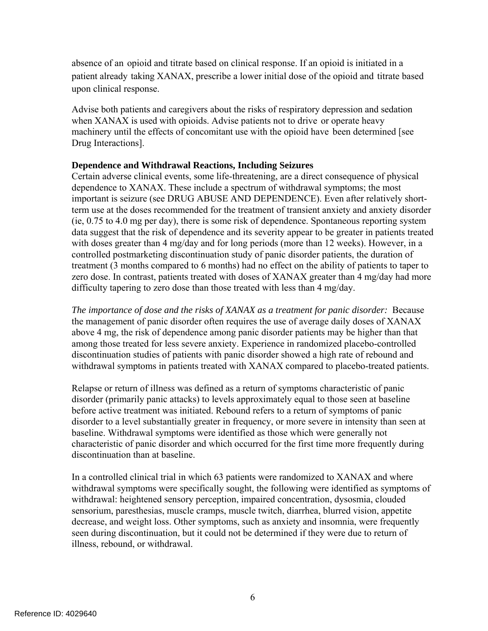absence of an opioid and titrate based on clinical response. If an opioid is initiated in a patient already taking XANAX, prescribe a lower initial dose of the opioid and titrate based upon clinical response.

Advise both patients and caregivers about the risks of respiratory depression and sedation when XANAX is used with opioids. Advise patients not to drive or operate heavy machinery until the effects of concomitant use with the opioid have been determined [see Drug Interactions].

### **Dependence and Withdrawal Reactions, Including Seizures**

Certain adverse clinical events, some life-threatening, are a direct consequence of physical dependence to XANAX. These include a spectrum of withdrawal symptoms; the most important is seizure (see DRUG ABUSE AND DEPENDENCE). Even after relatively shortterm use at the doses recommended for the treatment of transient anxiety and anxiety disorder (ie, 0.75 to 4.0 mg per day), there is some risk of dependence. Spontaneous reporting system data suggest that the risk of dependence and its severity appear to be greater in patients treated with doses greater than 4 mg/day and for long periods (more than 12 weeks). However, in a controlled postmarketing discontinuation study of panic disorder patients, the duration of treatment (3 months compared to 6 months) had no effect on the ability of patients to taper to zero dose. In contrast, patients treated with doses of XANAX greater than 4 mg/day had more difficulty tapering to zero dose than those treated with less than 4 mg/day.

*The importance of dose and the risks of XANAX as a treatment for panic disorder:* Because the management of panic disorder often requires the use of average daily doses of XANAX above 4 mg, the risk of dependence among panic disorder patients may be higher than that among those treated for less severe anxiety. Experience in randomized placebo-controlled discontinuation studies of patients with panic disorder showed a high rate of rebound and withdrawal symptoms in patients treated with XANAX compared to placebo-treated patients.

Relapse or return of illness was defined as a return of symptoms characteristic of panic disorder (primarily panic attacks) to levels approximately equal to those seen at baseline before active treatment was initiated. Rebound refers to a return of symptoms of panic disorder to a level substantially greater in frequency, or more severe in intensity than seen at baseline. Withdrawal symptoms were identified as those which were generally not characteristic of panic disorder and which occurred for the first time more frequently during discontinuation than at baseline.

In a controlled clinical trial in which 63 patients were randomized to XANAX and where withdrawal symptoms were specifically sought, the following were identified as symptoms of withdrawal: heightened sensory perception, impaired concentration, dysosmia, clouded sensorium, paresthesias, muscle cramps, muscle twitch, diarrhea, blurred vision, appetite decrease, and weight loss. Other symptoms, such as anxiety and insomnia, were frequently seen during discontinuation, but it could not be determined if they were due to return of illness, rebound, or withdrawal.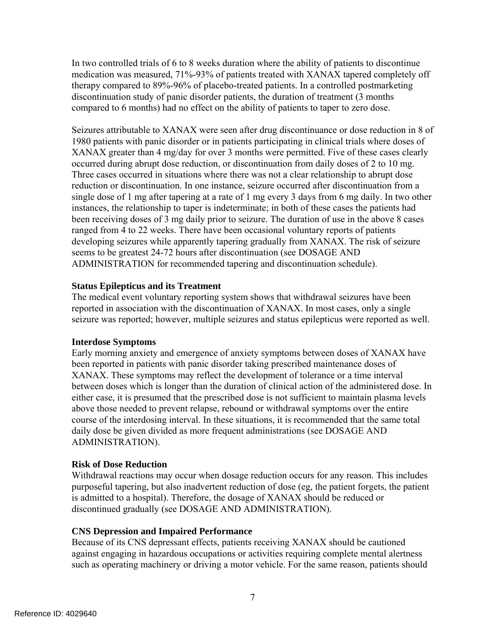In two controlled trials of 6 to 8 weeks duration where the ability of patients to discontinue medication was measured, 71%-93% of patients treated with XANAX tapered completely off therapy compared to 89%-96% of placebo-treated patients. In a controlled postmarketing discontinuation study of panic disorder patients, the duration of treatment (3 months compared to 6 months) had no effect on the ability of patients to taper to zero dose.

Seizures attributable to XANAX were seen after drug discontinuance or dose reduction in 8 of 1980 patients with panic disorder or in patients participating in clinical trials where doses of XANAX greater than 4 mg/day for over 3 months were permitted. Five of these cases clearly occurred during abrupt dose reduction, or discontinuation from daily doses of 2 to 10 mg. Three cases occurred in situations where there was not a clear relationship to abrupt dose reduction or discontinuation. In one instance, seizure occurred after discontinuation from a single dose of 1 mg after tapering at a rate of 1 mg every 3 days from 6 mg daily. In two other instances, the relationship to taper is indeterminate; in both of these cases the patients had been receiving doses of 3 mg daily prior to seizure. The duration of use in the above 8 cases ranged from 4 to 22 weeks. There have been occasional voluntary reports of patients developing seizures while apparently tapering gradually from XANAX. The risk of seizure seems to be greatest 24-72 hours after discontinuation (see DOSAGE AND ADMINISTRATION for recommended tapering and discontinuation schedule).

### **Status Epilepticus and its Treatment**

The medical event voluntary reporting system shows that withdrawal seizures have been reported in association with the discontinuation of XANAX. In most cases, only a single seizure was reported; however, multiple seizures and status epilepticus were reported as well.

### **Interdose Symptoms**

Early morning anxiety and emergence of anxiety symptoms between doses of XANAX have been reported in patients with panic disorder taking prescribed maintenance doses of XANAX. These symptoms may reflect the development of tolerance or a time interval between doses which is longer than the duration of clinical action of the administered dose. In either case, it is presumed that the prescribed dose is not sufficient to maintain plasma levels above those needed to prevent relapse, rebound or withdrawal symptoms over the entire course of the interdosing interval. In these situations, it is recommended that the same total daily dose be given divided as more frequent administrations (see DOSAGE AND ADMINISTRATION).

# **Risk of Dose Reduction**

Withdrawal reactions may occur when dosage reduction occurs for any reason. This includes purposeful tapering, but also inadvertent reduction of dose (eg, the patient forgets, the patient is admitted to a hospital). Therefore, the dosage of XANAX should be reduced or discontinued gradually (see DOSAGE AND ADMINISTRATION).

# **CNS Depression and Impaired Performance**

Because of its CNS depressant effects, patients receiving XANAX should be cautioned against engaging in hazardous occupations or activities requiring complete mental alertness such as operating machinery or driving a motor vehicle. For the same reason, patients should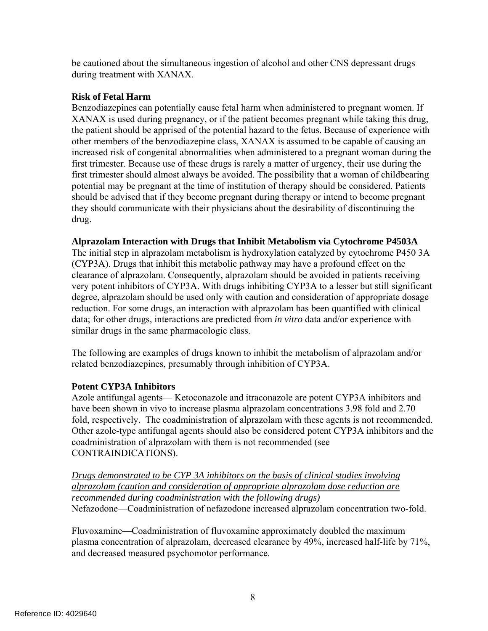be cautioned about the simultaneous ingestion of alcohol and other CNS depressant drugs during treatment with XANAX.

## **Risk of Fetal Harm**

Benzodiazepines can potentially cause fetal harm when administered to pregnant women. If XANAX is used during pregnancy, or if the patient becomes pregnant while taking this drug, the patient should be apprised of the potential hazard to the fetus. Because of experience with other members of the benzodiazepine class, XANAX is assumed to be capable of causing an increased risk of congenital abnormalities when administered to a pregnant woman during the first trimester. Because use of these drugs is rarely a matter of urgency, their use during the first trimester should almost always be avoided. The possibility that a woman of childbearing potential may be pregnant at the time of institution of therapy should be considered. Patients should be advised that if they become pregnant during therapy or intend to become pregnant they should communicate with their physicians about the desirability of discontinuing the drug.

### **Alprazolam Interaction with Drugs that Inhibit Metabolism via Cytochrome P4503A**

The initial step in alprazolam metabolism is hydroxylation catalyzed by cytochrome P450 3A (CYP3A). Drugs that inhibit this metabolic pathway may have a profound effect on the clearance of alprazolam. Consequently, alprazolam should be avoided in patients receiving very potent inhibitors of CYP3A. With drugs inhibiting CYP3A to a lesser but still significant degree, alprazolam should be used only with caution and consideration of appropriate dosage reduction. For some drugs, an interaction with alprazolam has been quantified with clinical data; for other drugs, interactions are predicted from *in vitro* data and/or experience with similar drugs in the same pharmacologic class.

The following are examples of drugs known to inhibit the metabolism of alprazolam and/or related benzodiazepines, presumably through inhibition of CYP3A.

# **Potent CYP3A Inhibitors**

Azole antifungal agents— Ketoconazole and itraconazole are potent CYP3A inhibitors and have been shown in vivo to increase plasma alprazolam concentrations 3.98 fold and 2.70 fold, respectively. The coadministration of alprazolam with these agents is not recommended. Other azole-type antifungal agents should also be considered potent CYP3A inhibitors and the coadministration of alprazolam with them is not recommended (see CONTRAINDICATIONS).

*Drugs demonstrated to be CYP 3A inhibitors on the basis of clinical studies involving alprazolam (caution and consideration of appropriate alprazolam dose reduction are recommended during coadministration with the following drugs)*  Nefazodone—Coadministration of nefazodone increased alprazolam concentration two-fold.

Fluvoxamine—Coadministration of fluvoxamine approximately doubled the maximum plasma concentration of alprazolam, decreased clearance by 49%, increased half-life by 71%, and decreased measured psychomotor performance.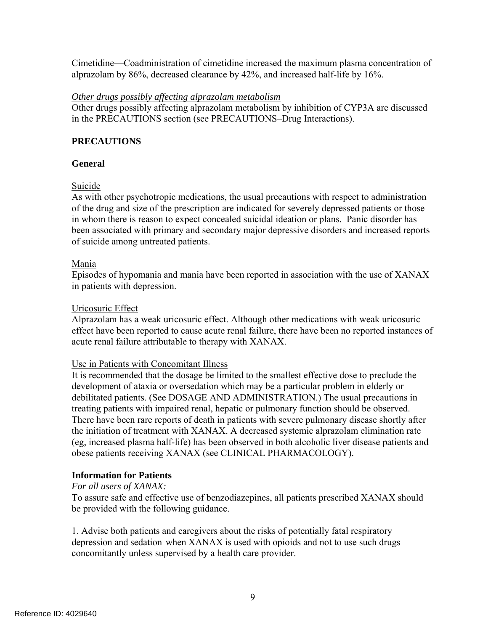Cimetidine—Coadministration of cimetidine increased the maximum plasma concentration of alprazolam by 86%, decreased clearance by 42%, and increased half-life by 16%.

### *Other drugs possibly affecting alprazolam metabolism*

Other drugs possibly affecting alprazolam metabolism by inhibition of CYP3A are discussed in the PRECAUTIONS section (see PRECAUTIONS–Drug Interactions).

### **PRECAUTIONS**

### **General**

## Suicide

As with other psychotropic medications, the usual precautions with respect to administration of the drug and size of the prescription are indicated for severely depressed patients or those in whom there is reason to expect concealed suicidal ideation or plans. Panic disorder has been associated with primary and secondary major depressive disorders and increased reports of suicide among untreated patients.

### Mania

Episodes of hypomania and mania have been reported in association with the use of XANAX in patients with depression.

### Uricosuric Effect

Alprazolam has a weak uricosuric effect. Although other medications with weak uricosuric effect have been reported to cause acute renal failure, there have been no reported instances of acute renal failure attributable to therapy with XANAX.

### Use in Patients with Concomitant Illness

It is recommended that the dosage be limited to the smallest effective dose to preclude the development of ataxia or oversedation which may be a particular problem in elderly or debilitated patients. (See DOSAGE AND ADMINISTRATION.) The usual precautions in treating patients with impaired renal, hepatic or pulmonary function should be observed. There have been rare reports of death in patients with severe pulmonary disease shortly after the initiation of treatment with XANAX. A decreased systemic alprazolam elimination rate (eg, increased plasma half-life) has been observed in both alcoholic liver disease patients and obese patients receiving XANAX (see CLINICAL PHARMACOLOGY).

# **Information for Patients**

### *For all users of XANAX:*

To assure safe and effective use of benzodiazepines, all patients prescribed XANAX should be provided with the following guidance.

1. Advise both patients and caregivers about the risks of potentially fatal respiratory depression and sedation when XANAX is used with opioids and not to use such drugs concomitantly unless supervised by a health care provider.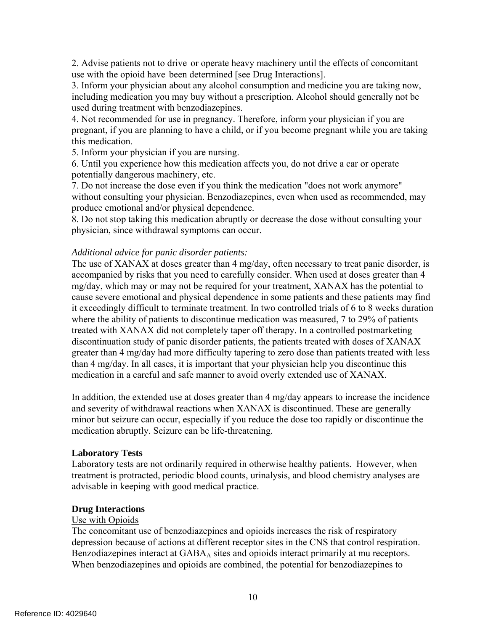2. Advise patients not to drive or operate heavy machinery until the effects of concomitant use with the opioid have been determined [see Drug Interactions].

3. Inform your physician about any alcohol consumption and medicine you are taking now, including medication you may buy without a prescription. Alcohol should generally not be used during treatment with benzodiazepines.

4. Not recommended for use in pregnancy. Therefore, inform your physician if you are pregnant, if you are planning to have a child, or if you become pregnant while you are taking this medication.

5. Inform your physician if you are nursing.

6. Until you experience how this medication affects you, do not drive a car or operate potentially dangerous machinery, etc.

7. Do not increase the dose even if you think the medication "does not work anymore" without consulting your physician. Benzodiazepines, even when used as recommended, may produce emotional and/or physical dependence.

8. Do not stop taking this medication abruptly or decrease the dose without consulting your physician, since withdrawal symptoms can occur.

### *Additional advice for panic disorder patients:*

The use of XANAX at doses greater than 4 mg/day, often necessary to treat panic disorder, is accompanied by risks that you need to carefully consider. When used at doses greater than 4 mg/day, which may or may not be required for your treatment, XANAX has the potential to cause severe emotional and physical dependence in some patients and these patients may find it exceedingly difficult to terminate treatment. In two controlled trials of 6 to 8 weeks duration where the ability of patients to discontinue medication was measured, 7 to 29% of patients treated with XANAX did not completely taper off therapy. In a controlled postmarketing discontinuation study of panic disorder patients, the patients treated with doses of XANAX greater than 4 mg/day had more difficulty tapering to zero dose than patients treated with less than 4 mg/day. In all cases, it is important that your physician help you discontinue this medication in a careful and safe manner to avoid overly extended use of XANAX.

In addition, the extended use at doses greater than 4 mg/day appears to increase the incidence and severity of withdrawal reactions when XANAX is discontinued. These are generally minor but seizure can occur, especially if you reduce the dose too rapidly or discontinue the medication abruptly. Seizure can be life-threatening.

### **Laboratory Tests**

Laboratory tests are not ordinarily required in otherwise healthy patients. However, when treatment is protracted, periodic blood counts, urinalysis, and blood chemistry analyses are advisable in keeping with good medical practice.

### **Drug Interactions**

### Use with Opioids

The concomitant use of benzodiazepines and opioids increases the risk of respiratory depression because of actions at different receptor sites in the CNS that control respiration. Benzodiazepines interact at GABA<sub>A</sub> sites and opioids interact primarily at mu receptors. When benzodiazepines and opioids are combined, the potential for benzodiazepines to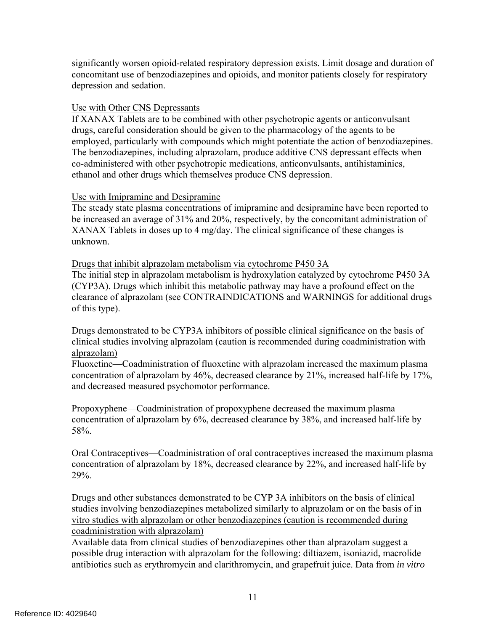significantly worsen opioid-related respiratory depression exists. Limit dosage and duration of concomitant use of benzodiazepines and opioids, and monitor patients closely for respiratory depression and sedation.

### Use with Other CNS Depressants

If XANAX Tablets are to be combined with other psychotropic agents or anticonvulsant drugs, careful consideration should be given to the pharmacology of the agents to be employed, particularly with compounds which might potentiate the action of benzodiazepines. The benzodiazepines, including alprazolam, produce additive CNS depressant effects when co-administered with other psychotropic medications, anticonvulsants, antihistaminics, ethanol and other drugs which themselves produce CNS depression.

### Use with Imipramine and Desipramine

The steady state plasma concentrations of imipramine and desipramine have been reported to be increased an average of 31% and 20%, respectively, by the concomitant administration of XANAX Tablets in doses up to 4 mg/day. The clinical significance of these changes is unknown.

Drugs that inhibit alprazolam metabolism via cytochrome P450 3A

The initial step in alprazolam metabolism is hydroxylation catalyzed by cytochrome P450 3A (CYP3A). Drugs which inhibit this metabolic pathway may have a profound effect on the clearance of alprazolam (see CONTRAINDICATIONS and WARNINGS for additional drugs of this type).

Drugs demonstrated to be CYP3A inhibitors of possible clinical significance on the basis of clinical studies involving alprazolam (caution is recommended during coadministration with alprazolam)

Fluoxetine—Coadministration of fluoxetine with alprazolam increased the maximum plasma concentration of alprazolam by 46%, decreased clearance by 21%, increased half-life by 17%, and decreased measured psychomotor performance.

Propoxyphene—Coadministration of propoxyphene decreased the maximum plasma concentration of alprazolam by 6%, decreased clearance by 38%, and increased half-life by 58%.

Oral Contraceptives—Coadministration of oral contraceptives increased the maximum plasma concentration of alprazolam by 18%, decreased clearance by 22%, and increased half-life by 29%.

coadministration with alprazolam) Drugs and other substances demonstrated to be CYP 3A inhibitors on the basis of clinical studies involving benzodiazepines metabolized similarly to alprazolam or on the basis of in vitro studies with alprazolam or other benzodiazepines (caution is recommended during

Available data from clinical studies of benzodiazepines other than alprazolam suggest a possible drug interaction with alprazolam for the following: diltiazem, isoniazid, macrolide antibiotics such as erythromycin and clarithromycin, and grapefruit juice. Data from *in vitro*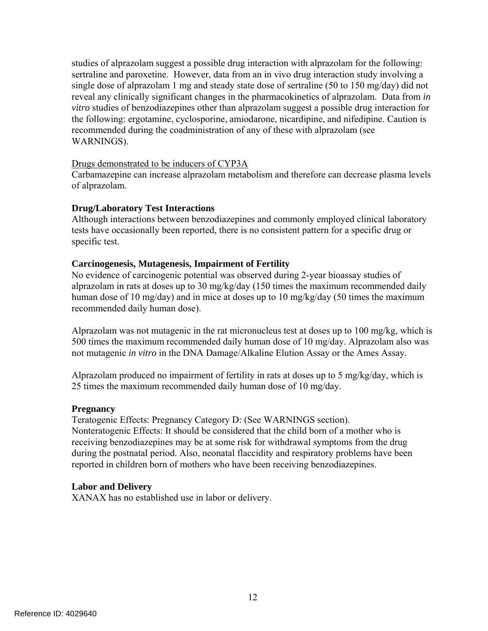reveal any clinically significant changes in the pharmacokinetics of alprazolam. Data from *in*  studies of alprazolam suggest a possible drug interaction with alprazolam for the following: sertraline and paroxetine. However, data from an in vivo drug interaction study involving a single dose of alprazolam 1 mg and steady state dose of sertraline (50 to 150 mg/day) did not *vitro* studies of benzodiazepines other than alprazolam suggest a possible drug interaction for the following: ergotamine, cyclosporine, amiodarone, nicardipine, and nifedipine. Caution is recommended during the coadministration of any of these with alprazolam (see WARNINGS).

#### Drugs demonstrated to be inducers of CYP3A

 of alprazolam. Carbamazepine can increase alprazolam metabolism and therefore can decrease plasma levels

### **Drug/Laboratory Test Interactions**

Although interactions between benzodiazepines and commonly employed clinical laboratory tests have occasionally been reported, there is no consistent pattern for a specific drug or specific test.

### **Carcinogenesis, Mutagenesis, Impairment of Fertility**

No evidence of carcinogenic potential was observed during 2-year bioassay studies of alprazolam in rats at doses up to 30 mg/kg/day (150 times the maximum recommended daily human dose of 10 mg/day) and in mice at doses up to 10 mg/kg/day (50 times the maximum recommended daily human dose).

Alprazolam was not mutagenic in the rat micronucleus test at doses up to 100 mg/kg, which is 500 times the maximum recommended daily human dose of 10 mg/day. Alprazolam also was not mutagenic *in vitro* in the DNA Damage/Alkaline Elution Assay or the Ames Assay.

Alprazolam produced no impairment of fertility in rats at doses up to 5 mg/kg/day, which is 25 times the maximum recommended daily human dose of 10 mg/day.

#### **Pregnancy**

Teratogenic Effects: Pregnancy Category D: (See WARNINGS section). Nonteratogenic Effects: It should be considered that the child born of a mother who is receiving benzodiazepines may be at some risk for withdrawal symptoms from the drug during the postnatal period. Also, neonatal flaccidity and respiratory problems have been reported in children born of mothers who have been receiving benzodiazepines.

### **Labor and Delivery**

XANAX has no established use in labor or delivery.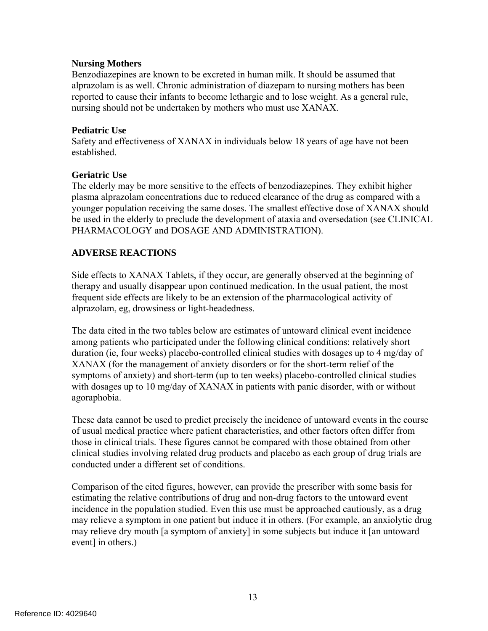### **Nursing Mothers**

Benzodiazepines are known to be excreted in human milk. It should be assumed that alprazolam is as well. Chronic administration of diazepam to nursing mothers has been reported to cause their infants to become lethargic and to lose weight. As a general rule, nursing should not be undertaken by mothers who must use XANAX.

### **Pediatric Use**

Safety and effectiveness of XANAX in individuals below 18 years of age have not been established.

### **Geriatric Use**

The elderly may be more sensitive to the effects of benzodiazepines. They exhibit higher plasma alprazolam concentrations due to reduced clearance of the drug as compared with a younger population receiving the same doses. The smallest effective dose of XANAX should be used in the elderly to preclude the development of ataxia and oversedation (see CLINICAL PHARMACOLOGY and DOSAGE AND ADMINISTRATION).

### **ADVERSE REACTIONS**

Side effects to XANAX Tablets, if they occur, are generally observed at the beginning of therapy and usually disappear upon continued medication. In the usual patient, the most frequent side effects are likely to be an extension of the pharmacological activity of alprazolam, eg, drowsiness or light-headedness.

The data cited in the two tables below are estimates of untoward clinical event incidence among patients who participated under the following clinical conditions: relatively short duration (ie, four weeks) placebo-controlled clinical studies with dosages up to 4 mg/day of XANAX (for the management of anxiety disorders or for the short-term relief of the symptoms of anxiety) and short-term (up to ten weeks) placebo-controlled clinical studies with dosages up to 10 mg/day of XANAX in patients with panic disorder, with or without agoraphobia.

These data cannot be used to predict precisely the incidence of untoward events in the course of usual medical practice where patient characteristics, and other factors often differ from those in clinical trials. These figures cannot be compared with those obtained from other clinical studies involving related drug products and placebo as each group of drug trials are conducted under a different set of conditions.

Comparison of the cited figures, however, can provide the prescriber with some basis for estimating the relative contributions of drug and non-drug factors to the untoward event incidence in the population studied. Even this use must be approached cautiously, as a drug may relieve a symptom in one patient but induce it in others. (For example, an anxiolytic drug may relieve dry mouth [a symptom of anxiety] in some subjects but induce it [an untoward event] in others.)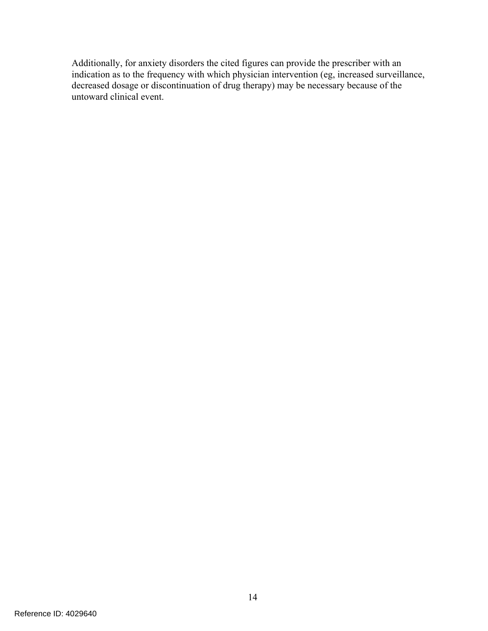Additionally, for anxiety disorders the cited figures can provide the prescriber with an indication as to the frequency with which physician intervention (eg, increased surveillance, decreased dosage or discontinuation of drug therapy) may be necessary because of the untoward clinical event.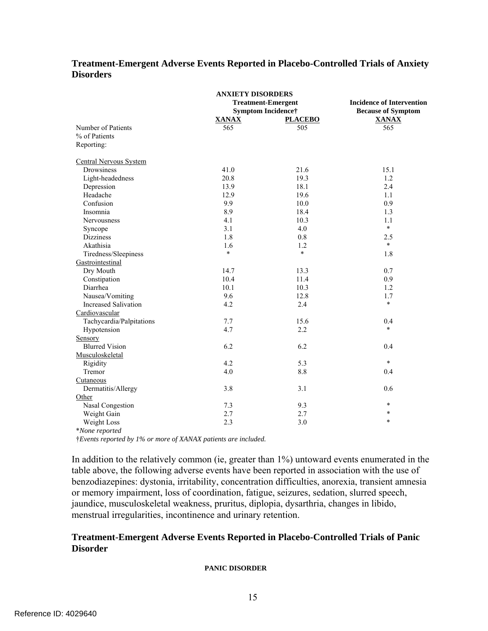### **Treatment-Emergent Adverse Events Reported in Placebo-Controlled Trials of Anxiety Disorders**

|                               | <b>ANXIETY DISORDERS</b>                               |                |                                                               |  |
|-------------------------------|--------------------------------------------------------|----------------|---------------------------------------------------------------|--|
|                               | <b>Treatment-Emergent</b><br><b>Symptom Incidence†</b> |                | <b>Incidence of Intervention</b><br><b>Because of Symptom</b> |  |
|                               |                                                        |                |                                                               |  |
|                               | <b>XANAX</b>                                           | <b>PLACEBO</b> | <b>XANAX</b>                                                  |  |
| Number of Patients            | 565                                                    | 505            | 565                                                           |  |
| % of Patients                 |                                                        |                |                                                               |  |
| Reporting:                    |                                                        |                |                                                               |  |
| <b>Central Nervous System</b> |                                                        |                |                                                               |  |
| Drowsiness                    | 41.0                                                   | 21.6           | 15.1                                                          |  |
| Light-headedness              | 20.8                                                   | 19.3           | 1.2                                                           |  |
| Depression                    | 13.9                                                   | 18.1           | 2.4                                                           |  |
| Headache                      | 12.9                                                   | 19.6           | 1.1                                                           |  |
| Confusion                     | 9.9                                                    | 10.0           | 0.9                                                           |  |
| Insomnia                      | 8.9                                                    | 18.4           | 1.3                                                           |  |
| Nervousness                   | 4.1                                                    | 10.3           | 1.1                                                           |  |
| Syncope                       | 3.1                                                    | 4.0            | $\ast$                                                        |  |
| <b>Dizziness</b>              | 1.8                                                    | 0.8            | 2.5                                                           |  |
| Akathisia                     | 1.6                                                    | 1.2            | $\ast$                                                        |  |
| Tiredness/Sleepiness          | $\ast$                                                 | $\ast$         | 1.8                                                           |  |
| Gastrointestinal              |                                                        |                |                                                               |  |
| Dry Mouth                     | 14.7                                                   | 13.3           | 0.7                                                           |  |
| Constipation                  | 10.4                                                   | 11.4           | 0.9                                                           |  |
| Diarrhea                      | 10.1                                                   | 10.3           | 1.2                                                           |  |
| Nausea/Vomiting               | 9.6                                                    | 12.8           | 1.7                                                           |  |
| <b>Increased Salivation</b>   | 4.2                                                    | 2.4            | $\ast$                                                        |  |
| Cardiovascular                |                                                        |                |                                                               |  |
| Tachycardia/Palpitations      | 7.7                                                    | 15.6           | 0.4                                                           |  |
| Hypotension                   | 4.7                                                    | 2.2            | $\ast$                                                        |  |
| Sensory                       |                                                        |                |                                                               |  |
| <b>Blurred Vision</b>         | 6.2                                                    | 6.2            | 0.4                                                           |  |
| Musculoskeletal               |                                                        |                |                                                               |  |
| Rigidity                      | 4.2                                                    | 5.3            | $\ast$                                                        |  |
| Tremor                        | 4.0                                                    | 8.8            | 0.4                                                           |  |
| Cutaneous                     |                                                        |                |                                                               |  |
| Dermatitis/Allergy            | 3.8                                                    | 3.1            | 0.6                                                           |  |
| Other                         |                                                        |                |                                                               |  |
| Nasal Congestion              | 7.3                                                    | 9.3            | $\ast$                                                        |  |
| Weight Gain                   | 2.7                                                    | 2.7            | $\ast$                                                        |  |
| Weight Loss                   | 2.3                                                    | 3.0            | $\ast$                                                        |  |
| *None reported                |                                                        |                |                                                               |  |

†*Events reported by 1% or more of XANAX patients are included.* 

In addition to the relatively common (ie, greater than 1%) untoward events enumerated in the table above, the following adverse events have been reported in association with the use of benzodiazepines: dystonia, irritability, concentration difficulties, anorexia, transient amnesia or memory impairment, loss of coordination, fatigue, seizures, sedation, slurred speech, jaundice, musculoskeletal weakness, pruritus, diplopia, dysarthria, changes in libido, menstrual irregularities, incontinence and urinary retention.

### **Treatment-Emergent Adverse Events Reported in Placebo-Controlled Trials of Panic Disorder**

#### **PANIC DISORDER**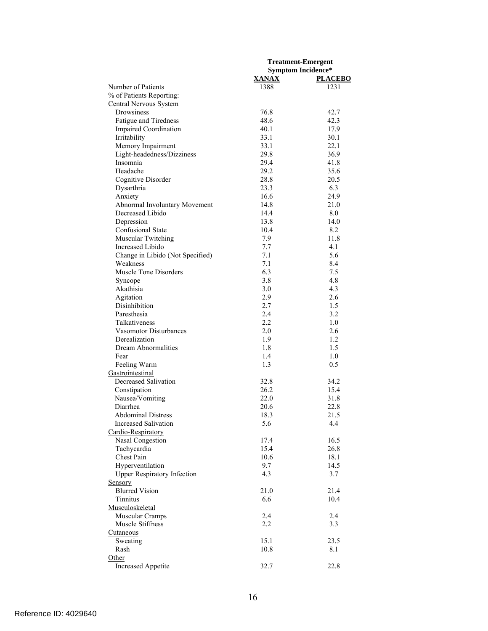|                                    | <b>Treatment-Emergent</b> |                |
|------------------------------------|---------------------------|----------------|
|                                    | <b>Symptom Incidence*</b> |                |
|                                    | <b>XANAX</b>              | <b>PLACEBO</b> |
| Number of Patients                 | 1388                      | 1231           |
| % of Patients Reporting:           |                           |                |
| Central Nervous System             |                           |                |
| Drowsiness                         | 76.8                      | 42.7           |
| Fatigue and Tiredness              | 48.6                      | 42.3           |
| <b>Impaired Coordination</b>       | 40.1                      | 17.9           |
| Irritability                       | 33.1                      | 30.1           |
| Memory Impairment                  | 33.1                      | 22.1           |
| Light-headedness/Dizziness         | 29.8                      | 36.9           |
| Insomnia                           | 29.4                      | 41.8           |
| Headache                           | 29.2                      | 35.6           |
| Cognitive Disorder                 | 28.8                      | 20.5           |
| Dysarthria                         | 23.3                      | 6.3            |
| Anxiety                            | 16.6                      | 24.9           |
| Abnormal Involuntary Movement      | 14.8                      | 21.0           |
| Decreased Libido                   | 14.4                      | 8.0            |
| Depression                         | 13.8                      | 14.0           |
| Confusional State                  | 10.4                      | 8.2            |
| Muscular Twitching                 | 7.9                       | 11.8           |
| Increased Libido                   | 7.7                       | 4.1            |
| Change in Libido (Not Specified)   | 7.1                       | 5.6            |
| Weakness                           | 7.1                       | 8.4            |
| Muscle Tone Disorders              | 6.3                       | 7.5            |
| Syncope                            | 3.8                       | 4.8            |
| Akathisia                          | 3.0                       | 4.3            |
| Agitation                          | 2.9                       | 2.6            |
| Disinhibition                      | 2.7                       | 1.5            |
| Paresthesia                        | 2.4                       | 3.2            |
| Talkativeness                      | 2.2                       | 1.0            |
| Vasomotor Disturbances             | 2.0                       | 2.6            |
| Derealization                      | 1.9                       | 1.2            |
| Dream Abnormalities                | 1.8                       | 1.5            |
| Fear                               | 1.4                       | 1.0            |
| Feeling Warm                       | 1.3                       | 0.5            |
| Gastrointestinal                   |                           |                |
| Decreased Salivation               | 32.8                      | 34.2           |
| Constipation                       | 26.2                      | 15.4           |
| Nausea/Vomiting                    | 22.0                      | 31.8           |
| Diarrhea                           | 20.6                      | 22.8           |
| <b>Abdominal Distress</b>          | 18.3                      | 21.5           |
| <b>Increased Salivation</b>        | 5.6                       | 4.4            |
| Cardio-Respiratory                 |                           |                |
| Nasal Congestion                   | 17.4                      | 16.5           |
| Tachycardia                        | 15.4                      | 26.8           |
| Chest Pain                         | 10.6                      | 18.1           |
| Hyperventilation                   | 9.7                       | 14.5           |
| <b>Upper Respiratory Infection</b> | 4.3                       | 3.7            |
| Sensory                            |                           |                |
| <b>Blurred Vision</b>              | 21.0                      | 21.4           |
| Tinnitus                           | 6.6                       | 10.4           |
| Musculoskeletal                    |                           |                |
| Muscular Cramps                    | 2.4                       | 2.4            |
| Muscle Stiffness                   | 2.2                       | 3.3            |
| Cutaneous                          |                           |                |
| Sweating                           | 15.1                      | 23.5           |
| Rash                               | 10.8                      | 8.1            |
| Other                              |                           |                |
| <b>Increased Appetite</b>          | 32.7                      | 22.8           |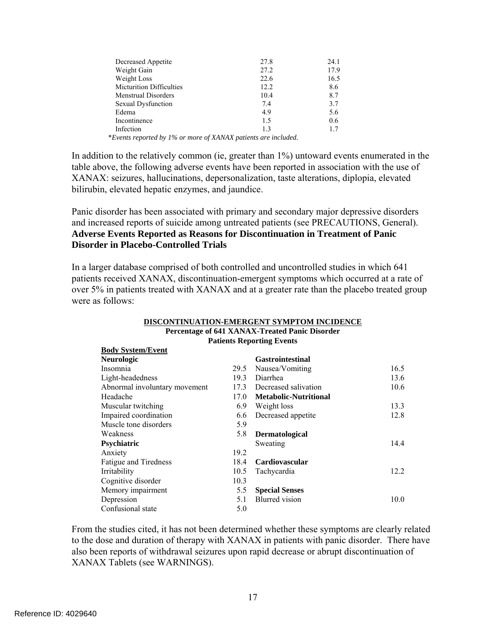| Decreased Appetite                                             | 27.8 | 24.1 |
|----------------------------------------------------------------|------|------|
| Weight Gain                                                    | 27.2 | 17.9 |
| Weight Loss                                                    | 22.6 | 16.5 |
| <b>Micturition Difficulties</b>                                | 12.2 | 8.6  |
| Menstrual Disorders                                            | 10.4 | 8.7  |
| <b>Sexual Dysfunction</b>                                      | 7.4  | 3.7  |
| Edema                                                          | 4.9  | 5.6  |
| Incontinence                                                   | 15   | 0.6  |
| Infection                                                      | 13   | 17   |
| *Events reported by 1% or more of XANAX patients are included. |      |      |

In addition to the relatively common (ie, greater than 1%) untoward events enumerated in the table above, the following adverse events have been reported in association with the use of XANAX: seizures, hallucinations, depersonalization, taste alterations, diplopia, elevated bilirubin, elevated hepatic enzymes, and jaundice.

Panic disorder has been associated with primary and secondary major depressive disorders and increased reports of suicide among untreated patients (see PRECAUTIONS, General). **Adverse Events Reported as Reasons for Discontinuation in Treatment of Panic Disorder in Placebo-Controlled Trials** 

In a larger database comprised of both controlled and uncontrolled studies in which 641 patients received XANAX, discontinuation-emergent symptoms which occurred at a rate of over 5% in patients treated with XANAX and at a greater rate than the placebo treated group were as follows:

#### **DISCONTINUATION-EMERGENT SYMPTOM INCIDENCE Percentage of 641 XANAX-Treated Panic Disorder Patients Reporting Events**

| <b>Body System/Event</b>      |      |                              |      |
|-------------------------------|------|------------------------------|------|
| <b>Neurologic</b>             |      | <b>Gastrointestinal</b>      |      |
| Insomnia                      | 29.5 | Nausea/Vomiting              | 16.5 |
| Light-headedness              | 19.3 | Diarrhea                     | 13.6 |
| Abnormal involuntary movement | 17.3 | Decreased salivation         | 10.6 |
| Headache                      | 17.0 | <b>Metabolic-Nutritional</b> |      |
| Muscular twitching            | 6.9  | Weight loss                  | 13.3 |
| Impaired coordination         | 6.6  | Decreased appetite           | 12.8 |
| Muscle tone disorders         | 5.9  |                              |      |
| Weakness                      | 5.8  | <b>Dermatological</b>        |      |
| <b>Psychiatric</b>            |      | Sweating                     | 14.4 |
| Anxiety                       | 19.2 |                              |      |
| Fatigue and Tiredness         | 18.4 | <b>Cardiovascular</b>        |      |
| Irritability                  | 10.5 | <b>Tachycardia</b>           | 12.2 |
| Cognitive disorder            | 10.3 |                              |      |
| Memory impairment             | 5.5  | <b>Special Senses</b>        |      |
| Depression                    | 5.1  | <b>Blurred</b> vision        | 10.0 |
| Confusional state             | 5.0  |                              |      |

From the studies cited, it has not been determined whether these symptoms are clearly related to the dose and duration of therapy with XANAX in patients with panic disorder. There have also been reports of withdrawal seizures upon rapid decrease or abrupt discontinuation of XANAX Tablets (see WARNINGS).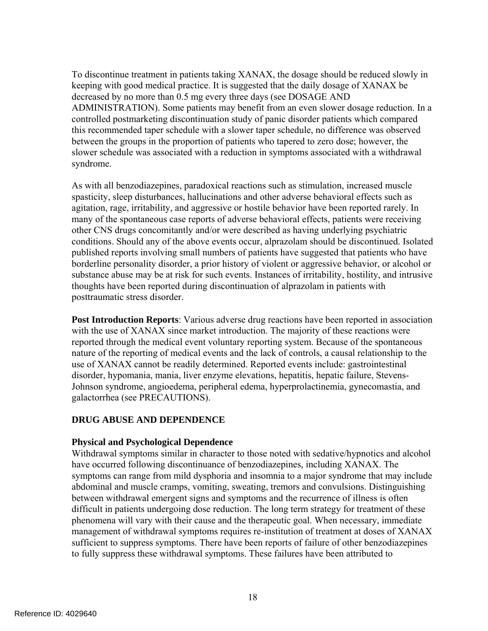To discontinue treatment in patients taking XANAX, the dosage should be reduced slowly in keeping with good medical practice. It is suggested that the daily dosage of XANAX be decreased by no more than 0.5 mg every three days (see DOSAGE AND ADMINISTRATION). Some patients may benefit from an even slower dosage reduction. In a controlled postmarketing discontinuation study of panic disorder patients which compared this recommended taper schedule with a slower taper schedule, no difference was observed between the groups in the proportion of patients who tapered to zero dose; however, the slower schedule was associated with a reduction in symptoms associated with a withdrawal syndrome.

As with all benzodiazepines, paradoxical reactions such as stimulation, increased muscle spasticity, sleep disturbances, hallucinations and other adverse behavioral effects such as agitation, rage, irritability, and aggressive or hostile behavior have been reported rarely. In many of the spontaneous case reports of adverse behavioral effects, patients were receiving other CNS drugs concomitantly and/or were described as having underlying psychiatric conditions. Should any of the above events occur, alprazolam should be discontinued. Isolated published reports involving small numbers of patients have suggested that patients who have borderline personality disorder, a prior history of violent or aggressive behavior, or alcohol or substance abuse may be at risk for such events. Instances of irritability, hostility, and intrusive thoughts have been reported during discontinuation of alprazolam in patients with posttraumatic stress disorder.

**Post Introduction Reports**: Various adverse drug reactions have been reported in association with the use of XANAX since market introduction. The majority of these reactions were reported through the medical event voluntary reporting system. Because of the spontaneous nature of the reporting of medical events and the lack of controls, a causal relationship to the use of XANAX cannot be readily determined. Reported events include: gastrointestinal disorder, hypomania, mania, liver enzyme elevations, hepatitis, hepatic failure, Stevens-Johnson syndrome, angioedema, peripheral edema, hyperprolactinemia, gynecomastia, and galactorrhea (see PRECAUTIONS).

### **DRUG ABUSE AND DEPENDENCE**

### **Physical and Psychological Dependence**

Withdrawal symptoms similar in character to those noted with sedative/hypnotics and alcohol have occurred following discontinuance of benzodiazepines, including XANAX. The symptoms can range from mild dysphoria and insomnia to a major syndrome that may include abdominal and muscle cramps, vomiting, sweating, tremors and convulsions. Distinguishing between withdrawal emergent signs and symptoms and the recurrence of illness is often difficult in patients undergoing dose reduction. The long term strategy for treatment of these phenomena will vary with their cause and the therapeutic goal. When necessary, immediate management of withdrawal symptoms requires re-institution of treatment at doses of XANAX sufficient to suppress symptoms. There have been reports of failure of other benzodiazepines to fully suppress these withdrawal symptoms. These failures have been attributed to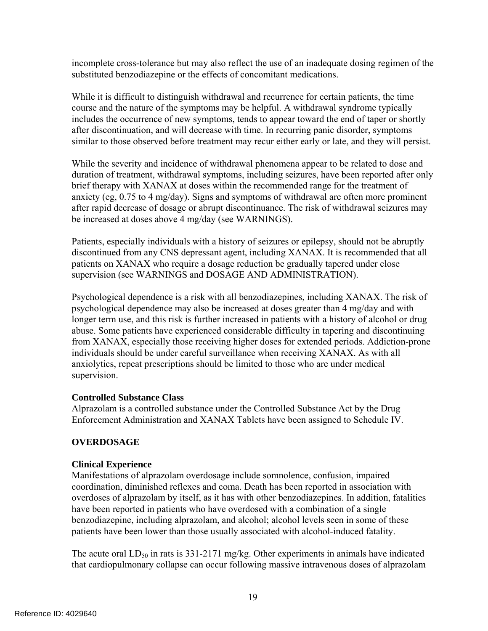incomplete cross-tolerance but may also reflect the use of an inadequate dosing regimen of the substituted benzodiazepine or the effects of concomitant medications.

While it is difficult to distinguish withdrawal and recurrence for certain patients, the time course and the nature of the symptoms may be helpful. A withdrawal syndrome typically includes the occurrence of new symptoms, tends to appear toward the end of taper or shortly after discontinuation, and will decrease with time. In recurring panic disorder, symptoms similar to those observed before treatment may recur either early or late, and they will persist.

While the severity and incidence of withdrawal phenomena appear to be related to dose and duration of treatment, withdrawal symptoms, including seizures, have been reported after only brief therapy with XANAX at doses within the recommended range for the treatment of anxiety (eg, 0.75 to 4 mg/day). Signs and symptoms of withdrawal are often more prominent after rapid decrease of dosage or abrupt discontinuance. The risk of withdrawal seizures may be increased at doses above 4 mg/day (see WARNINGS).

Patients, especially individuals with a history of seizures or epilepsy, should not be abruptly discontinued from any CNS depressant agent, including XANAX. It is recommended that all patients on XANAX who require a dosage reduction be gradually tapered under close supervision (see WARNINGS and DOSAGE AND ADMINISTRATION).

Psychological dependence is a risk with all benzodiazepines, including XANAX. The risk of psychological dependence may also be increased at doses greater than 4 mg/day and with longer term use, and this risk is further increased in patients with a history of alcohol or drug abuse. Some patients have experienced considerable difficulty in tapering and discontinuing from XANAX, especially those receiving higher doses for extended periods. Addiction-prone individuals should be under careful surveillance when receiving XANAX. As with all anxiolytics, repeat prescriptions should be limited to those who are under medical supervision.

### **Controlled Substance Class**

Alprazolam is a controlled substance under the Controlled Substance Act by the Drug Enforcement Administration and XANAX Tablets have been assigned to Schedule IV.

# **OVERDOSAGE**

### **Clinical Experience**

Manifestations of alprazolam overdosage include somnolence, confusion, impaired coordination, diminished reflexes and coma. Death has been reported in association with overdoses of alprazolam by itself, as it has with other benzodiazepines. In addition, fatalities have been reported in patients who have overdosed with a combination of a single benzodiazepine, including alprazolam, and alcohol; alcohol levels seen in some of these patients have been lower than those usually associated with alcohol-induced fatality.

The acute oral  $LD_{50}$  in rats is 331-2171 mg/kg. Other experiments in animals have indicated that cardiopulmonary collapse can occur following massive intravenous doses of alprazolam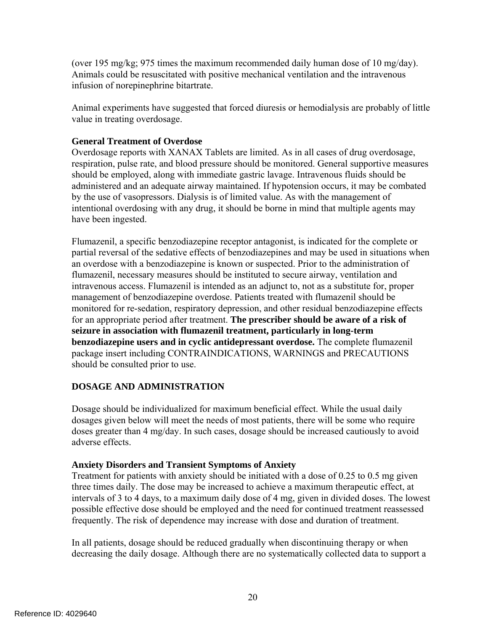(over 195 mg/kg; 975 times the maximum recommended daily human dose of 10 mg/day). Animals could be resuscitated with positive mechanical ventilation and the intravenous infusion of norepinephrine bitartrate.

Animal experiments have suggested that forced diuresis or hemodialysis are probably of little value in treating overdosage.

## **General Treatment of Overdose**

Overdosage reports with XANAX Tablets are limited. As in all cases of drug overdosage, respiration, pulse rate, and blood pressure should be monitored. General supportive measures should be employed, along with immediate gastric lavage. Intravenous fluids should be administered and an adequate airway maintained. If hypotension occurs, it may be combated by the use of vasopressors. Dialysis is of limited value. As with the management of intentional overdosing with any drug, it should be borne in mind that multiple agents may have been ingested.

Flumazenil, a specific benzodiazepine receptor antagonist, is indicated for the complete or partial reversal of the sedative effects of benzodiazepines and may be used in situations when an overdose with a benzodiazepine is known or suspected. Prior to the administration of flumazenil, necessary measures should be instituted to secure airway, ventilation and intravenous access. Flumazenil is intended as an adjunct to, not as a substitute for, proper management of benzodiazepine overdose. Patients treated with flumazenil should be monitored for re-sedation, respiratory depression, and other residual benzodiazepine effects for an appropriate period after treatment. **The prescriber should be aware of a risk of seizure in association with flumazenil treatment, particularly in long-term benzodiazepine users and in cyclic antidepressant overdose.** The complete flumazenil package insert including CONTRAINDICATIONS, WARNINGS and PRECAUTIONS should be consulted prior to use.

# **DOSAGE AND ADMINISTRATION**

Dosage should be individualized for maximum beneficial effect. While the usual daily dosages given below will meet the needs of most patients, there will be some who require doses greater than 4 mg/day. In such cases, dosage should be increased cautiously to avoid adverse effects.

### **Anxiety Disorders and Transient Symptoms of Anxiety**

Treatment for patients with anxiety should be initiated with a dose of 0.25 to 0.5 mg given three times daily. The dose may be increased to achieve a maximum therapeutic effect, at intervals of 3 to 4 days, to a maximum daily dose of 4 mg, given in divided doses. The lowest possible effective dose should be employed and the need for continued treatment reassessed frequently. The risk of dependence may increase with dose and duration of treatment.

In all patients, dosage should be reduced gradually when discontinuing therapy or when decreasing the daily dosage. Although there are no systematically collected data to support a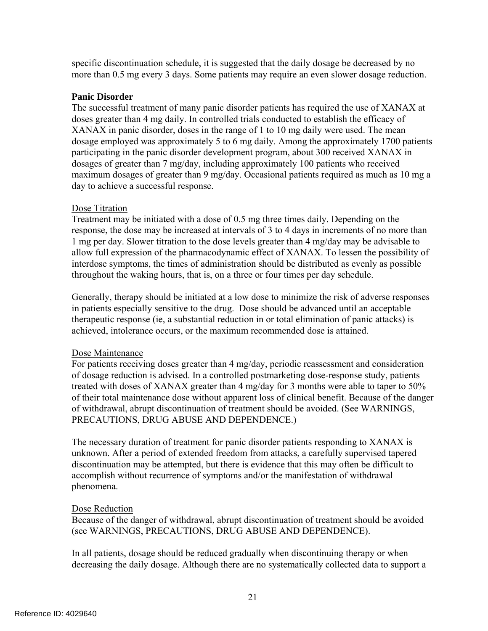specific discontinuation schedule, it is suggested that the daily dosage be decreased by no more than 0.5 mg every 3 days. Some patients may require an even slower dosage reduction.

### **Panic Disorder**

The successful treatment of many panic disorder patients has required the use of XANAX at doses greater than 4 mg daily. In controlled trials conducted to establish the efficacy of XANAX in panic disorder, doses in the range of 1 to 10 mg daily were used. The mean dosage employed was approximately 5 to 6 mg daily. Among the approximately 1700 patients participating in the panic disorder development program, about 300 received XANAX in dosages of greater than 7 mg/day, including approximately 100 patients who received maximum dosages of greater than 9 mg/day. Occasional patients required as much as 10 mg a day to achieve a successful response.

### Dose Titration

Treatment may be initiated with a dose of 0.5 mg three times daily. Depending on the response, the dose may be increased at intervals of 3 to 4 days in increments of no more than 1 mg per day. Slower titration to the dose levels greater than 4 mg/day may be advisable to allow full expression of the pharmacodynamic effect of XANAX. To lessen the possibility of interdose symptoms, the times of administration should be distributed as evenly as possible throughout the waking hours, that is, on a three or four times per day schedule.

Generally, therapy should be initiated at a low dose to minimize the risk of adverse responses in patients especially sensitive to the drug. Dose should be advanced until an acceptable therapeutic response (ie, a substantial reduction in or total elimination of panic attacks) is achieved, intolerance occurs, or the maximum recommended dose is attained.

### Dose Maintenance

For patients receiving doses greater than 4 mg/day, periodic reassessment and consideration of dosage reduction is advised. In a controlled postmarketing dose-response study, patients treated with doses of XANAX greater than 4 mg/day for 3 months were able to taper to 50% of their total maintenance dose without apparent loss of clinical benefit. Because of the danger of withdrawal, abrupt discontinuation of treatment should be avoided. (See WARNINGS, PRECAUTIONS, DRUG ABUSE AND DEPENDENCE.)

The necessary duration of treatment for panic disorder patients responding to XANAX is unknown. After a period of extended freedom from attacks, a carefully supervised tapered discontinuation may be attempted, but there is evidence that this may often be difficult to accomplish without recurrence of symptoms and/or the manifestation of withdrawal phenomena.

### Dose Reduction

Because of the danger of withdrawal, abrupt discontinuation of treatment should be avoided (see WARNINGS, PRECAUTIONS, DRUG ABUSE AND DEPENDENCE).

In all patients, dosage should be reduced gradually when discontinuing therapy or when decreasing the daily dosage. Although there are no systematically collected data to support a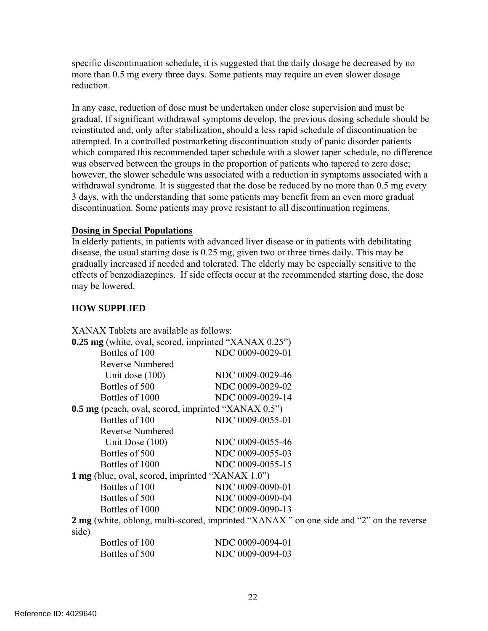specific discontinuation schedule, it is suggested that the daily dosage be decreased by no more than 0.5 mg every three days. Some patients may require an even slower dosage reduction.

In any case, reduction of dose must be undertaken under close supervision and must be gradual. If significant withdrawal symptoms develop, the previous dosing schedule should be reinstituted and, only after stabilization, should a less rapid schedule of discontinuation be attempted. In a controlled postmarketing discontinuation study of panic disorder patients which compared this recommended taper schedule with a slower taper schedule, no difference was observed between the groups in the proportion of patients who tapered to zero dose; however, the slower schedule was associated with a reduction in symptoms associated with a withdrawal syndrome. It is suggested that the dose be reduced by no more than 0.5 mg every 3 days, with the understanding that some patients may benefit from an even more gradual discontinuation. Some patients may prove resistant to all discontinuation regimens.

### **Dosing in Special Populations**

In elderly patients, in patients with advanced liver disease or in patients with debilitating disease, the usual starting dose is 0.25 mg, given two or three times daily. This may be gradually increased if needed and tolerated. The elderly may be especially sensitive to the effects of benzodiazepines. If side effects occur at the recommended starting dose, the dose may be lowered.

### **HOW SUPPLIED**

| XANAX Tablets are available as follows:                      |                                                                                         |
|--------------------------------------------------------------|-----------------------------------------------------------------------------------------|
| <b>0.25 mg</b> (white, oval, scored, imprinted "XANAX 0.25") |                                                                                         |
| Bottles of 100                                               | NDC 0009-0029-01                                                                        |
| Reverse Numbered                                             |                                                                                         |
| Unit dose $(100)$                                            | NDC 0009-0029-46                                                                        |
| Bottles of 500                                               | NDC 0009-0029-02                                                                        |
| Bottles of 1000                                              | NDC 0009-0029-14                                                                        |
| <b>0.5 mg</b> (peach, oval, scored, imprinted "XANAX 0.5")   |                                                                                         |
| Bottles of 100                                               | NDC 0009-0055-01                                                                        |
| <b>Reverse Numbered</b>                                      |                                                                                         |
| Unit Dose (100)                                              | NDC 0009-0055-46                                                                        |
| Bottles of 500                                               | NDC 0009-0055-03                                                                        |
| Bottles of 1000                                              | NDC 0009-0055-15                                                                        |
| <b>1 mg</b> (blue, oval, scored, imprinted "XANAX 1.0")      |                                                                                         |
| Bottles of 100                                               | NDC 0009-0090-01                                                                        |
| Bottles of 500                                               | NDC 0009-0090-04                                                                        |
| Bottles of 1000                                              | NDC 0009-0090-13                                                                        |
|                                                              | 2 mg (white, oblong, multi-scored, imprinted "XANAX" on one side and "2" on the reverse |
| side)                                                        |                                                                                         |
| Bottles of 100                                               | NDC 0009-0094-01                                                                        |
| Bottles of 500                                               | NDC 0009-0094-03                                                                        |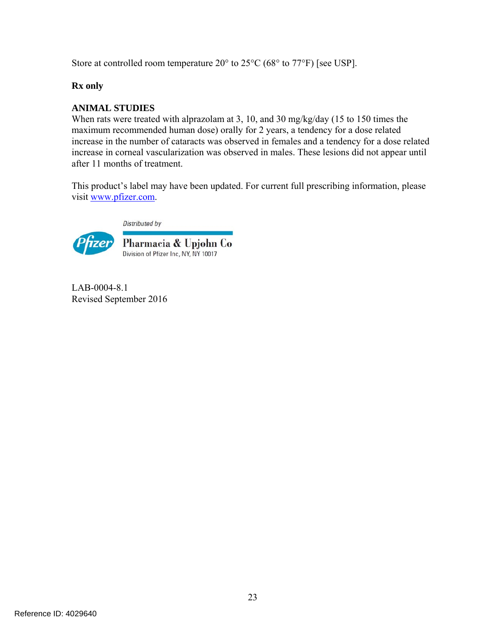Store at controlled room temperature 20° to 25°C (68° to 77°F) [see USP].

## **Rx only**

# **ANIMAL STUDIES**

When rats were treated with alprazolam at 3, 10, and 30 mg/kg/day (15 to 150 times the maximum recommended human dose) orally for 2 years, a tendency for a dose related increase in the number of cataracts was observed in females and a tendency for a dose related increase in corneal vascularization was observed in males. These lesions did not appear until after 11 months of treatment.

This product's label may have been updated. For current full prescribing information, please visit www.pfizer.com.

**Distributed by** 



LAB-0004-8.1 Revised September 2016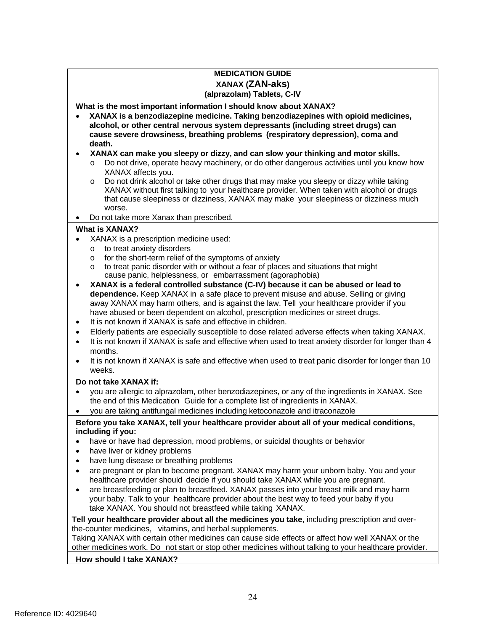#### **MEDICATION GUIDE XANAX (ZAN-aks) (alprazolam) Tablets, C-IV**

#### **What is the most important information I should know about XANAX?**

- **XANAX is a benzodiazepine medicine. Taking benzodiazepines with opioid medicines, alcohol, or other central nervous system depressants (including street drugs) can cause severe drowsiness, breathing problems (respiratory depression), coma and death.**
- **XANAX can make you sleepy or dizzy, and can slow your thinking and motor skills.** 
	- o Do not drive, operate heavy machinery, or do other dangerous activities until you know how XANAX affects you.
	- Do not drink alcohol or take other drugs that may make you sleepy or dizzy while taking XANAX without first talking to your healthcare provider. When taken with alcohol or drugs that cause sleepiness or dizziness, XANAX may make your sleepiness or dizziness much worse.
- Do not take more Xanax than prescribed.

#### **What is XANAX?**

- XANAX is a prescription medicine used:
	- o to treat anxiety disorders
	- o for the short-term relief of the symptoms of anxiety
	- $\circ$  to treat panic disorder with or without a fear of places and situations that might cause panic, helplessness, or embarrassment (agoraphobia)
- **XANAX is a federal controlled substance (C-IV) because it can be abused or lead to dependence.** Keep XANAX in a safe place to prevent misuse and abuse. Selling or giving away XANAX may harm others, and is against the law. Tell your healthcare provider if you have abused or been dependent on alcohol, prescription medicines or street drugs.
- It is not known if XANAX is safe and effective in children.
- Elderly patients are especially susceptible to dose related adverse effects when taking XANAX.
- It is not known if XANAX is safe and effective when used to treat anxiety disorder for longer than 4 months.
- It is not known if XANAX is safe and effective when used to treat panic disorder for longer than 10 weeks.

#### **Do not take XANAX if:**

- you are allergic to alprazolam, other benzodiazepines, or any of the ingredients in XANAX. See the end of this Medication Guide for a complete list of ingredients in XANAX.
- you are taking antifungal medicines including ketoconazole and itraconazole

**Before you take XANAX, tell your healthcare provider about all of your medical conditions, including if you:** 

- have or have had depression, mood problems, or suicidal thoughts or behavior
- have liver or kidney problems
- have lung disease or breathing problems
- are pregnant or plan to become pregnant. XANAX may harm your unborn baby. You and your healthcare provider should decide if you should take XANAX while you are pregnant.
- are breastfeeding or plan to breastfeed. XANAX passes into your breast milk and may harm your baby. Talk to your healthcare provider about the best way to feed your baby if you take XANAX. You should not breastfeed while taking XANAX.

**Tell your healthcare provider about all the medicines you take**, including prescription and overthe-counter medicines, vitamins, and herbal supplements.

Taking XANAX with certain other medicines can cause side effects or affect how well XANAX or the other medicines work. Do not start or stop other medicines without talking to your healthcare provider.

#### **How should I take XANAX?**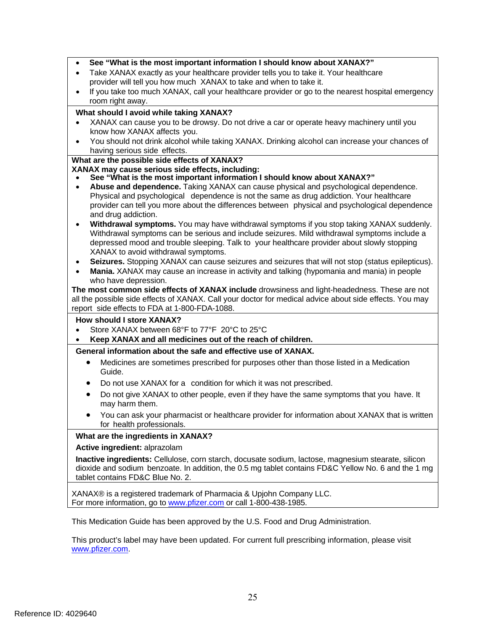|  | See "What is the most important information I should know about XANAX?" |  |  |  |
|--|-------------------------------------------------------------------------|--|--|--|
|--|-------------------------------------------------------------------------|--|--|--|

- Take XANAX exactly as your healthcare provider tells you to take it. Your healthcare provider will tell you how much XANAX to take and when to take it.
- If you take too much XANAX, call your healthcare provider or go to the nearest hospital emergency room right away.

#### **What should I avoid while taking XANAX?**

- XANAX can cause you to be drowsy. Do not drive a car or operate heavy machinery until you know how XANAX affects you.
- You should not drink alcohol while taking XANAX. Drinking alcohol can increase your chances of having serious side effects.

#### **What are the possible side effects of XANAX?**

**XANAX may cause serious side effects, including:** 

- **See "What is the most important information I should know about XANAX?"**
- **Abuse and dependence.** Taking XANAX can cause physical and psychological dependence. Physical and psychological dependence is not the same as drug addiction. Your healthcare provider can tell you more about the differences between physical and psychological dependence and drug addiction.
- **Withdrawal symptoms.** You may have withdrawal symptoms if you stop taking XANAX suddenly. Withdrawal symptoms can be serious and include seizures. Mild withdrawal symptoms include a depressed mood and trouble sleeping. Talk to your healthcare provider about slowly stopping XANAX to avoid withdrawal symptoms.
- **Seizures.** Stopping XANAX can cause seizures and seizures that will not stop (status epilepticus).
- **Mania.** XANAX may cause an increase in activity and talking (hypomania and mania) in people who have depression.

**The most common side effects of XANAX include** drowsiness and light-headedness. These are not all the possible side effects of XANAX. Call your doctor for medical advice about side effects. You may report side effects to FDA at 1-800-FDA-1088.

#### **How should I store XANAX?**

- Store XANAX between 68°F to 77°F 20°C to 25°C
- **Keep XANAX and all medicines out of the reach of children.**

#### **General information about the safe and effective use of XANAX.**

- Medicines are sometimes prescribed for purposes other than those listed in a Medication Guide.
- Do not use XANAX for a condition for which it was not prescribed.
- Do not give XANAX to other people, even if they have the same symptoms that you have. It may harm them.
- You can ask your pharmacist or healthcare provider for information about XANAX that is written for health professionals.

#### **What are the ingredients in XANAX?**

#### **Active ingredient:** alprazolam

**Inactive ingredients:** Cellulose, corn starch, docusate sodium, lactose, magnesium stearate, silicon dioxide and sodium benzoate. In addition, the 0.5 mg tablet contains FD&C Yellow No. 6 and the 1 mg tablet contains FD&C Blue No. 2.

XANAX® is a registered trademark of Pharmacia & Upjohn Company LLC. For more information, go to www.pfizer.com or call 1-800-438-1985.

This Medication Guide has been approved by the U.S. Food and Drug Administration.

This product's label may have been updated. For current full prescribing information, please visit www.pfizer.com.